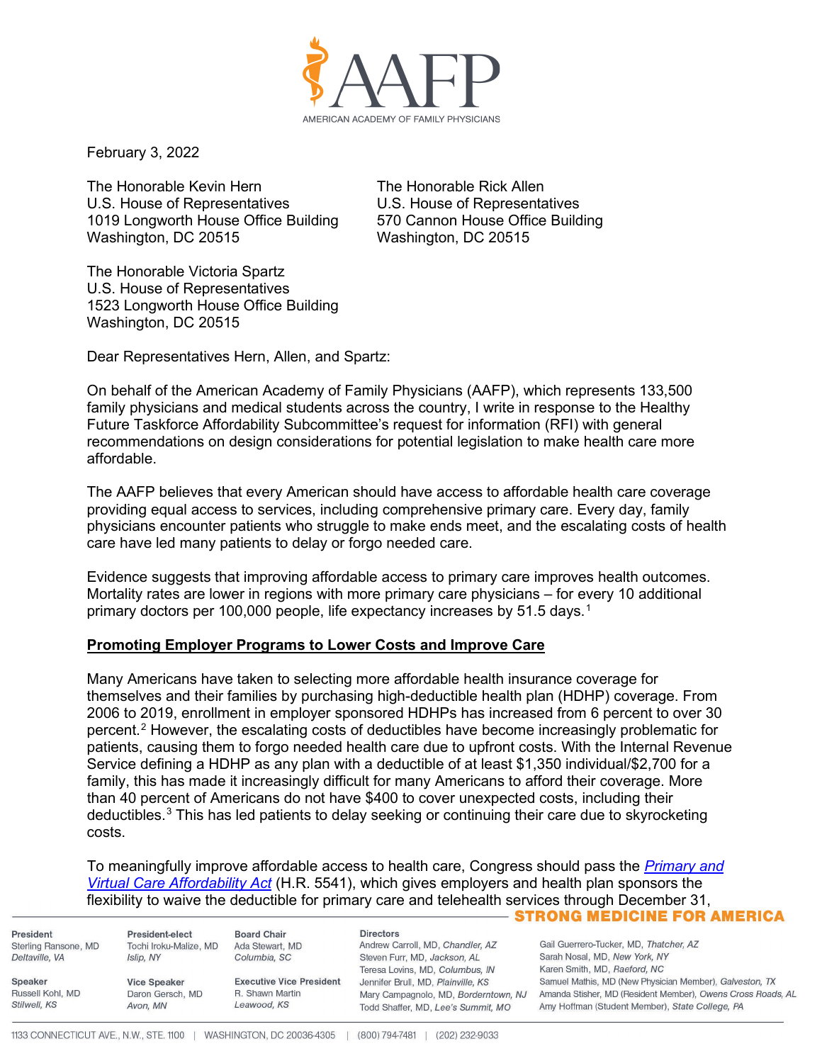

February 3, 2022

The Honorable Kevin Hern The Honorable Rick Allen U.S. House of Representatives U.S. House of Representatives<br>1019 Longworth House Office Building 570 Cannon House Office Building 1019 Longworth House Office Building Washington, DC 20515 Washington, DC 20515

The Honorable Victoria Spartz U.S. House of Representatives 1523 Longworth House Office Building Washington, DC 20515

Dear Representatives Hern, Allen, and Spartz:

On behalf of the American Academy of Family Physicians (AAFP), which represents 133,500 family physicians and medical students across the country, I write in response to the Healthy Future Taskforce Affordability Subcommittee's request for information (RFI) with general recommendations on design considerations for potential legislation to make health care more affordable.

The AAFP believes that every American should have access to affordable health care coverage providing equal access to services, including comprehensive primary care. Every day, family physicians encounter patients who struggle to make ends meet, and the escalating costs of health care have led many patients to delay or forgo needed care.

Evidence suggests that improving affordable access to primary care improves health outcomes. Mortality rates are lower in regions with more primary care physicians – for every 10 additional primary doctors per [1](#page-2-0)00,000 people, life expectancy increases by 51.5 days.<sup>1</sup>

## **Promoting Employer Programs to Lower Costs and Improve Care**

Many Americans have taken to selecting more affordable health insurance coverage for themselves and their families by purchasing high-deductible health plan (HDHP) coverage. From 2006 to 2019, enrollment in employer sponsored HDHPs has increased from 6 percent to over 30 percent.<sup>[2](#page-2-1)</sup> However, the escalating costs of deductibles have become increasingly problematic for patients, causing them to forgo needed health care due to upfront costs. With the Internal Revenue Service defining a HDHP as any plan with a deductible of at least \$1,350 individual/\$2,700 for a family, this has made it increasingly difficult for many Americans to afford their coverage. More than 40 percent of Americans do not have \$400 to cover unexpected costs, including their deductibles.[3](#page-2-2) This has led patients to delay seeking or continuing their care due to skyrocketing costs.

To meaningfully improve affordable access to health care, Congress should pass the *[Primary and](https://www.aafp.org/dam/AAFP/documents/advocacy/coverage/aca/LT-Congress-PrimaryVirtualCareAffordabilityAct-100821.pdf)  [Virtual Care Affordability Act](https://www.aafp.org/dam/AAFP/documents/advocacy/coverage/aca/LT-Congress-PrimaryVirtualCareAffordabilityAct-100821.pdf)* (H.R. 5541), which gives employers and health plan sponsors the flexibility to waive the deductible for primary care and telehealth services through December 31, - STRONG MEDICINE FOR AMERICA

President Sterling Ransone, MD Deltaville, VA

Russell Kohl, MD

Speaker

Stilwell, KS

President-elect Tochi Iroku-Malize, MD Islip, NY

**Vice Speaker** 

Avon, MN

Daron Gersch, MD

**Board Chair** Ada Stewart, MD Columbia, SC

**Executive Vice President** R. Shawn Martin Leawood, KS

**Directors** Andrew Carroll, MD, Chandler, AZ Steven Furr, MD, Jackson, AL Teresa Lovins, MD, Columbus, IN Jennifer Brull, MD, Plainville, KS Todd Shaffer, MD, Lee's Summit, MO

Gail Guerrero-Tucker, MD, Thatcher, AZ Sarah Nosal, MD, New York, NY Karen Smith, MD, Raeford, NC Samuel Mathis, MD (New Physician Member), Galveston, TX Mary Campagnolo, MD, Borderntown, NJ Amanda Stisher, MD (Resident Member), Owens Cross Roads, AL Amy Hoffman (Student Member), State College, PA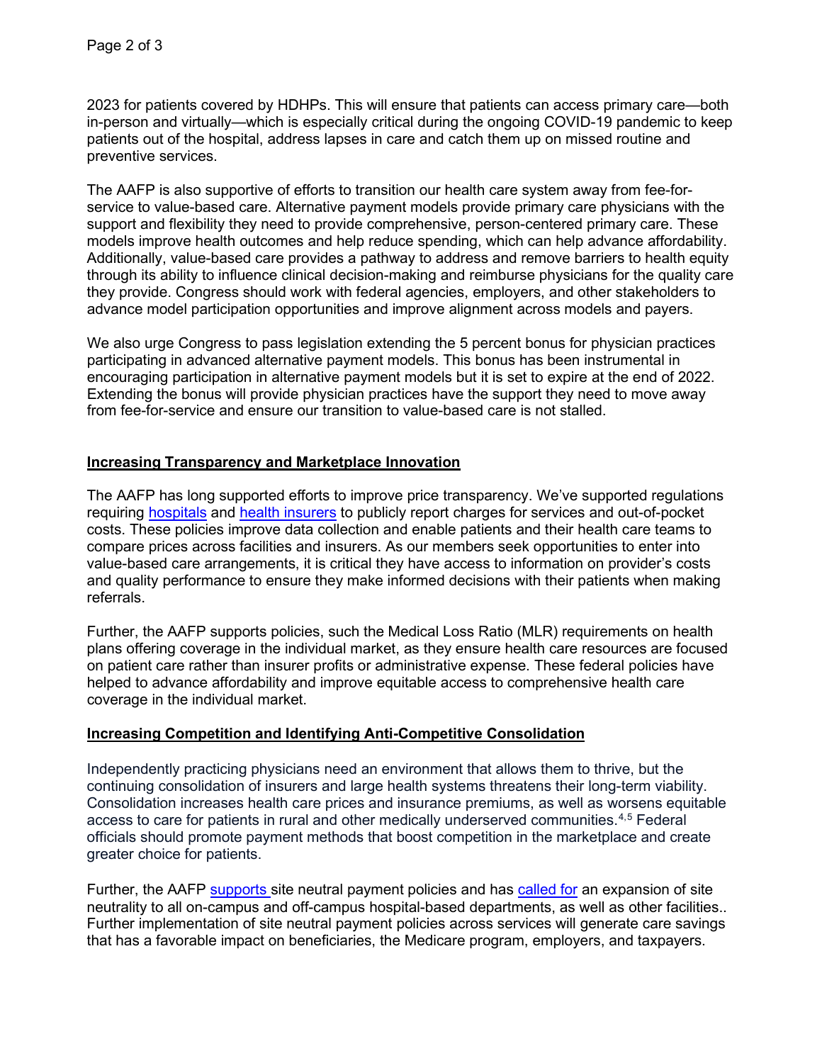2023 for patients covered by HDHPs. This will ensure that patients can access primary care—both in-person and virtually—which is especially critical during the ongoing COVID-19 pandemic to keep patients out of the hospital, address lapses in care and catch them up on missed routine and preventive services.

The AAFP is also supportive of efforts to transition our health care system away from fee-forservice to value-based care. Alternative payment models provide primary care physicians with the support and flexibility they need to provide comprehensive, person-centered primary care. These models improve health outcomes and help reduce spending, which can help advance affordability. Additionally, value-based care provides a pathway to address and remove barriers to health equity through its ability to influence clinical decision-making and reimburse physicians for the quality care they provide. Congress should work with federal agencies, employers, and other stakeholders to advance model participation opportunities and improve alignment across models and payers.

We also urge Congress to pass legislation extending the 5 percent bonus for physician practices participating in advanced alternative payment models. This bonus has been instrumental in encouraging participation in alternative payment models but it is set to expire at the end of 2022. Extending the bonus will provide physician practices have the support they need to move away from fee-for-service and ensure our transition to value-based care is not stalled.

## **Increasing Transparency and Marketplace Innovation**

The AAFP has long supported efforts to improve price transparency. We've supported regulations requiring [hospitals](https://www.aafp.org/dam/AAFP/documents/advocacy/payment/medicare/LT-CMS-2020OPPS-091919.pdf) and [health insurers](https://www.aafp.org/dam/AAFP/documents/advocacy/coverage/aca/LT-HHS-TransparencyCoverage-012920.pdf) to publicly report charges for services and out-of-pocket costs. These policies improve data collection and enable patients and their health care teams to compare prices across facilities and insurers. As our members seek opportunities to enter into value-based care arrangements, it is critical they have access to information on provider's costs and quality performance to ensure they make informed decisions with their patients when making referrals.

Further, the AAFP supports policies, such the Medical Loss Ratio (MLR) requirements on health plans offering coverage in the individual market, as they ensure health care resources are focused on patient care rather than insurer profits or administrative expense. These federal policies have helped to advance affordability and improve equitable access to comprehensive health care coverage in the individual market.

## **Increasing Competition and Identifying Anti-Competitive Consolidation**

Independently practicing physicians need an environment that allows them to thrive, but the continuing consolidation of insurers and large health systems threatens their long-term viability. Consolidation increases health care prices and insurance premiums, as well as worsens equitable access to care for patients in rural and other medically underserved communities.<sup>[4,](#page-2-3)[5](#page-2-4)</sup> Federal officials should promote payment methods that boost competition in the marketplace and create greater choice for patients.

Further, the AAFP [supports s](https://www.aafp.org/dam/AAFP/documents/advocacy/payment/medicare/LT-CMS-2020OPPS-091919.pdf)ite neutral payment policies and has [called for](https://familiesusa.org/wp-content/uploads/2021/09/Consumers-First-Comments-on-OPPS-CY22-9.17.21.pdf) an expansion of site neutrality to all on-campus and off-campus hospital-based departments, as well as other facilities.. Further implementation of site neutral payment policies across services will generate care savings that has a favorable impact on beneficiaries, the Medicare program, employers, and taxpayers.